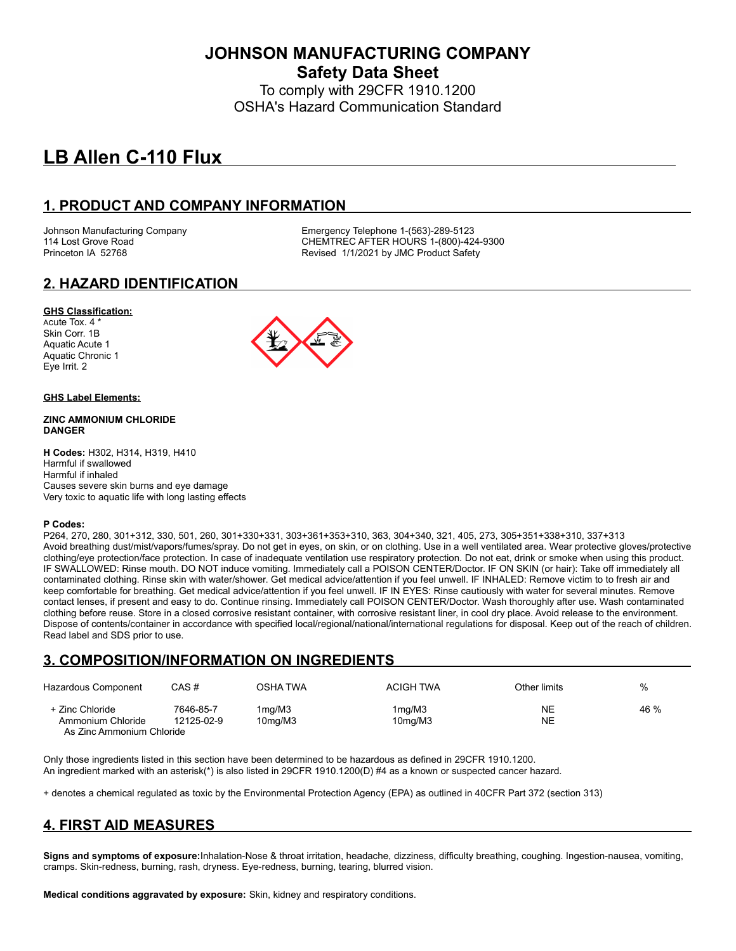**JOHNSON MANUFACTURING COMPANY Safety Data Sheet**

To comply with 29CFR 1910.1200 OSHA's Hazard Communication Standard

# **LB Allen C-110 Flux**

## **1. PRODUCT AND COMPANY INFORMATION**

Johnson Manufacturing Company **Emergency Telephone 1-(563)-289-5123**<br>114 Lost Grove Road **COMPAN COMPANE CONTREC AFTER HOURS** 1-(800)-42 CHEMTREC AFTER HOURS 1-(800)-424-9300 Princeton IA 52768 **Revised 1/1/2021 by JMC Product Safety** 

## **2. HAZARD IDENTIFICATION**

#### **GHS Classification:**

Acute Tox. 4 \* Skin Corr. 1B Aquatic Acute 1 Aquatic Chronic 1 Eye Irrit. 2



#### **GHS Label Elements:**

#### **ZINC AMMONIUM CHLORIDE DANGER**

**H Codes:** H302, H314, H319, H410 Harmful if swallowed Harmful if inhaled Causes severe skin burns and eye damage Very toxic to aquatic life with long lasting effects

#### **P Codes:**

P264, 270, 280, 301+312, 330, 501, 260, 301+330+331, 303+361+353+310, 363, 304+340, 321, 405, 273, 305+351+338+310, 337+313 Avoid breathing dust/mist/vapors/fumes/spray. Do not get in eyes, on skin, or on clothing. Use in a well ventilated area. Wear protective gloves/protective clothing/eye protection/face protection. In case of inadequate ventilation use respiratory protection. Do not eat, drink or smoke when using this product. IF SWALLOWED: Rinse mouth. DO NOT induce vomiting. Immediately call a POISON CENTER/Doctor. IF ON SKIN (or hair): Take off immediately all contaminated clothing. Rinse skin with water/shower. Get medical advice/attention if you feel unwell. IF INHALED: Remove victim to to fresh air and keep comfortable for breathing. Get medical advice/attention if you feel unwell. IF IN EYES: Rinse cautiously with water for several minutes. Remove contact lenses, if present and easy to do. Continue rinsing. Immediately call POISON CENTER/Doctor. Wash thoroughly after use. Wash contaminated clothing before reuse. Store in a closed corrosive resistant container, with corrosive resistant liner, in cool dry place. Avoid release to the environment. Dispose of contents/container in accordance with specified local/regional/national/international regulations for disposal. Keep out of the reach of children. Read label and SDS prior to use.

## **3. COMPOSITION/INFORMATION ON INGREDIENTS**

| Hazardous Component                  | CAS#                    | OSHA TWA                       | <b>ACIGH TWA</b>               | Other limits    | %    |
|--------------------------------------|-------------------------|--------------------------------|--------------------------------|-----------------|------|
| + Zinc Chloride<br>Ammonium Chloride | 7646-85-7<br>12125-02-9 | 1ma/M3<br>10 <sub>ma</sub> /M3 | 1ma/M3<br>10 <sub>ma</sub> /M3 | NE<br><b>NE</b> | 46 % |
| As 7 inc Ammonium Chloride           |                         |                                |                                |                 |      |

Only those ingredients listed in this section have been determined to be hazardous as defined in 29CFR 1910.1200. An ingredient marked with an asterisk(\*) is also listed in 29CFR 1910.1200(D) #4 as a known or suspected cancer hazard.

+ denotes a chemical regulated as toxic by the Environmental Protection Agency (EPA) as outlined in 40CFR Part 372 (section 313)

## **4. FIRST AID MEASURES**

**Signs and symptoms of exposure:**Inhalation-Nose & throat irritation, headache, dizziness, difficulty breathing, coughing. Ingestion-nausea, vomiting, cramps. Skin-redness, burning, rash, dryness. Eye-redness, burning, tearing, blurred vision.

**Medical conditions aggravated by exposure:** Skin, kidney and respiratory conditions.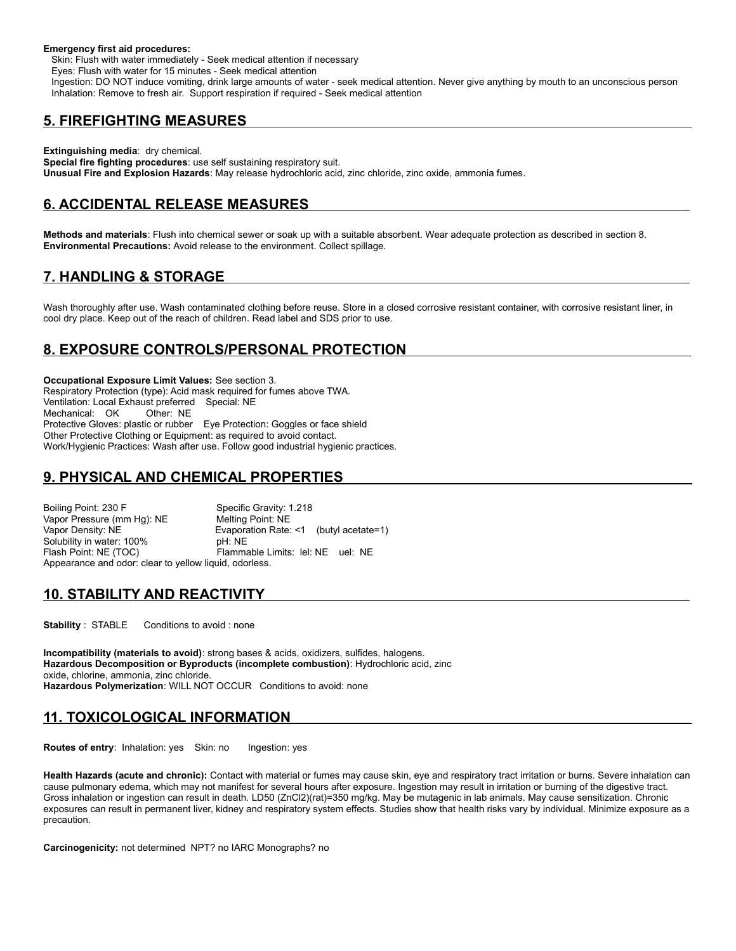#### **Emergency first aid procedures:**

 Skin: Flush with water immediately - Seek medical attention if necessary Eyes: Flush with water for 15 minutes - Seek medical attention Ingestion: DO NOT induce vomiting, drink large amounts of water - seek medical attention. Never give anything by mouth to an unconscious person Inhalation: Remove to fresh air. Support respiration if required - Seek medical attention

#### **5. FIREFIGHTING MEASURES**

**Extinguishing media**: dry chemical. **Special fire fighting procedures**: use self sustaining respiratory suit. **Unusual Fire and Explosion Hazards**: May release hydrochloric acid, zinc chloride, zinc oxide, ammonia fumes.

## **6. ACCIDENTAL RELEASE MEASURES**

**Methods and materials**: Flush into chemical sewer or soak up with a suitable absorbent. Wear adequate protection as described in section 8. **Environmental Precautions:** Avoid release to the environment. Collect spillage.

## **7. HANDLING & STORAGE**

Wash thoroughly after use. Wash contaminated clothing before reuse. Store in a closed corrosive resistant container, with corrosive resistant liner, in cool dry place. Keep out of the reach of children. Read label and SDS prior to use.

## **8. EXPOSURE CONTROLS/PERSONAL PROTECTION**

**Occupational Exposure Limit Values:** See section 3. Respiratory Protection (type): Acid mask required for fumes above TWA. Ventilation: Local Exhaust preferred Special: NE Mechanical: OK Other: NE Protective Gloves: plastic or rubber Eye Protection: Goggles or face shield Other Protective Clothing or Equipment: as required to avoid contact. Work/Hygienic Practices: Wash after use. Follow good industrial hygienic practices.

## **9. PHYSICAL AND CHEMICAL PROPERTIES**

Boiling Point: 230 F<br>Vapor Pressure (mm Hg): NE Melting Point: NE Vapor Pressure (mm Hg): NE<br>Vapor Density: NE Evaporation Rate: <1 (butyl acetate=1) Solubility in water: 100% pH: NE Flash Point: NE (TOC) Flammable Limits: lel: NE uel: NE Appearance and odor: clear to yellow liquid, odorless.

## **10. STABILITY AND REACTIVITY**

**Stability** : STABLE Conditions to avoid : none

**Incompatibility (materials to avoid)**: strong bases & acids, oxidizers, sulfides, halogens. **Hazardous Decomposition or Byproducts (incomplete combustion)**: Hydrochloric acid, zinc oxide, chlorine, ammonia, zinc chloride. **Hazardous Polymerization**: WILL NOT OCCUR Conditions to avoid: none

## **11. TOXICOLOGICAL INFORMATION**

**Routes of entry**: Inhalation: yes Skin: no Ingestion: yes

**Health Hazards (acute and chronic):** Contact with material or fumes may cause skin, eye and respiratory tract irritation or burns. Severe inhalation can cause pulmonary edema, which may not manifest for several hours after exposure. Ingestion may result in irritation or burning of the digestive tract. Gross inhalation or ingestion can result in death. LD50 (ZnCl2)(rat)=350 mg/kg. May be mutagenic in lab animals. May cause sensitization. Chronic exposures can result in permanent liver, kidney and respiratory system effects. Studies show that health risks vary by individual. Minimize exposure as a precaution.

**Carcinogenicity:** not determined NPT? no IARC Monographs? no